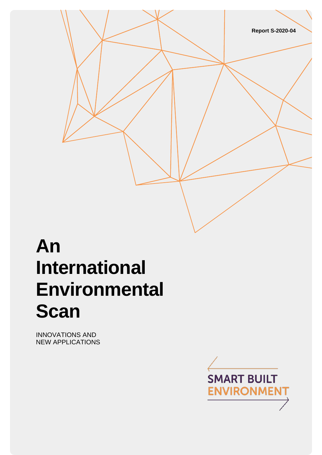

# **An International Environmental Scan**

INNOVATIONS AND NEW APPLICATIONS

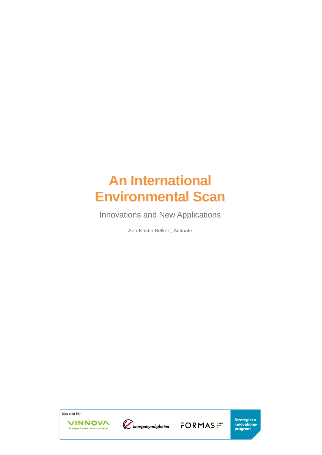# **An International Environmental Scan**

Innovations and New Applications

Ann-Kristin Belkert, Actinate

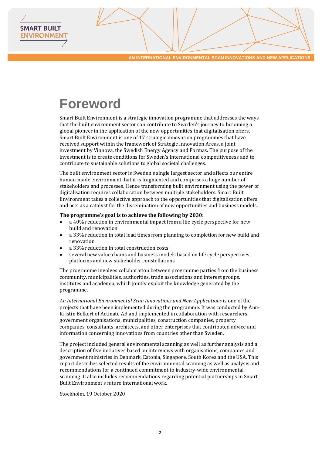# **Foreword**

**SMART BUILT ENVIRONMEN** 

> Smart Built Environment is a strategic innovation programme that addresses the ways that the built environment sector can contribute to Sweden's journey to becoming a global pioneer in the application of the new opportunities that digitalisation offers. Smart Built Environment is one of 17 strategic innovation programmes that have received support within the framework of Strategic Innovation Areas, a joint investment by Vinnova, the Swedish Energy Agency and Formas. The purpose of the investment is to create conditions for Sweden's international competitiveness and to contribute to sustainable solutions to global societal challenges.

> The built environment sector is Sweden's single largest sector and affects our entire human-made environment, but it is fragmented and comprises a huge number of stakeholders and processes. Hence transforming built environment using the power of digitalisation requires collaboration between multiple stakeholders. Smart Built Environment takes a collective approach to the opportunities that digitalisation offers and acts as a catalyst for the dissemination of new opportunities and business models.

#### **The programme's goal is to achieve the following by 2030:**

- a 40% reduction in environmental impact from a life cycle perspective for new build and renovation
- a 33% reduction in total lead times from planning to completion for new build and renovation
- a 33% reduction in total construction costs
- several new value chains and business models based on life cycle perspectives, platforms and new stakeholder constellations

The programme involves collaboration between programme parties from the business community, municipalities, authorities, trade associations and interest groups, institutes and academia, which jointly exploit the knowledge generated by the programme.

*An International Environmental Scan Innovations and New Applications* is one of the projects that have been implemented during the programme. It was conducted by Ann-Kristin Belkert of Actinate AB and implemented in collaboration with researchers, government organisations, municipalities, construction companies, property companies, consultants, architects, and other enterprises that contributed advice and information concerning innovations from countries other than Sweden.

The project included general environmental scanning as well as further analysis and a description of five initiatives based on interviews with organisations, companies and government ministries in Denmark, Estonia, Singapore, South Korea and the USA. This report describes selected results of the environmental scanning as well as analysis and recommendations for a continued commitment to industry-wide environmental scanning. It also includes recommendations regarding potential partnerships in Smart Built Environment's future international work.

Stockholm, 19 October 2020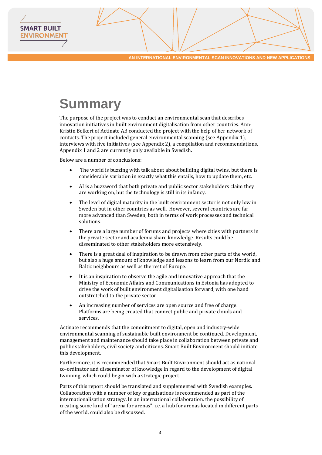# **Summary**

**SMART BUILT ENVIRONMEN** 

> The purpose of the project was to conduct an environmental scan that describes innovation initiatives in built environment digitalisation from other countries. Ann-Kristin Belkert of Actinate AB conducted the project with the help of her network of contacts. The project included general environmental scanning (see Appendix 1), interviews with five initiatives (see Appendix 2), a compilation and recommendations. Appendix 1 and 2 are currently only available in Swedish.

Below are a number of conclusions:

- The world is buzzing with talk about about building digital twins, but there is considerable variation in exactly what this entails, how to update them, etc.
- AI is a buzzword that both private and public sector stakeholders claim they are working on, but the technology is still in its infancy.
- The level of digital maturity in the built environment sector is not only low in Sweden but in other countries as well. However, several countries are far more advanced than Sweden, both in terms of work processes and technical solutions.
- There are a large number of forums and projects where cities with partners in the private sector and academia share knowledge. Results could be disseminated to other stakeholders more extensively.
- There is a great deal of inspiration to be drawn from other parts of the world, but also a huge amount of knowledge and lessons to learn from our Nordic and Baltic neighbours as well as the rest of Europe.
- It is an inspiration to observe the agile and innovative approach that the Ministry of Economic Affairs and Communications in Estonia has adopted to drive the work of built environment digitalisation forward, with one hand outstretched to the private sector.
- An increasing number of services are open source and free of charge. Platforms are being created that connect public and private clouds and services.

Actinate recommends that the commitment to digital, open and industry-wide environmental scanning of sustainable built environment be continued. Development, management and maintenance should take place in collaboration between private and public stakeholders, civil society and citizens. Smart Built Environment should initiate this development.

Furthermore, it is recommended that Smart Built Environment should act as national co-ordinator and disseminator of knowledge in regard to the development of digital twinning, which could begin with a strategic project.

Parts of this report should be translated and supplemented with Swedish examples. Collaboration with a number of key organisations is recommended as part of the internationalisation strategy. In an international collaboration, the possibility of creating some kind of "arena for arenas", i.e. a hub for arenas located in different parts of the world, could also be discussed.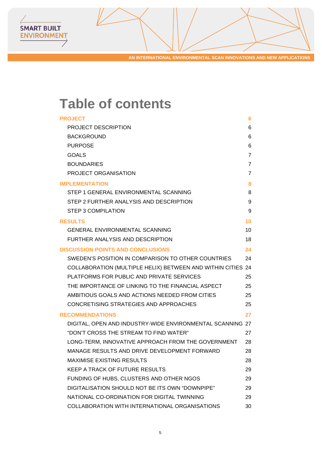# **Table of contents**

SMART BUILT **ENVIRONMENT** 

| <b>PROJECT</b>                                              | 6              |
|-------------------------------------------------------------|----------------|
| <b>PROJECT DESCRIPTION</b>                                  | 6              |
| <b>BACKGROUND</b>                                           | 6              |
| <b>PURPOSE</b>                                              | 6              |
| <b>GOALS</b>                                                | $\overline{7}$ |
| <b>BOUNDARIES</b>                                           | $\overline{7}$ |
| <b>PROJECT ORGANISATION</b>                                 | $\overline{7}$ |
| <b>IMPLEMENTATION</b>                                       | 8              |
| STEP 1 GENERAL ENVIRONMENTAL SCANNING                       | 8              |
| STEP 2 FURTHER ANALYSIS AND DESCRIPTION                     | 9              |
| <b>STEP 3 COMPILATION</b>                                   | 9              |
| <b>RESULTS</b>                                              | 10             |
| <b>GENERAL ENVIRONMENTAL SCANNING</b>                       | 10             |
| FURTHER ANALYSIS AND DESCRIPTION                            | 18             |
| <b>DISCUSSION POINTS AND CONCLUSIONS</b>                    | 24             |
| SWEDEN'S POSITION IN COMPARISON TO OTHER COUNTRIES          | 24             |
| COLLABORATION (MULTIPLE HELIX) BETWEEN AND WITHIN CITIES 24 |                |
| PLATFORMS FOR PUBLIC AND PRIVATE SERVICES                   | 25             |
| THE IMPORTANCE OF LINKING TO THE FINANCIAL ASPECT           | 25             |
| AMBITIOUS GOALS AND ACTIONS NEEDED FROM CITIES              | 25             |
| CONCRETISING STRATEGIES AND APPROACHES                      | 25             |
| <b>RECOMMENDATIONS</b>                                      | 27             |
| DIGITAL, OPEN AND INDUSTRY-WIDE ENVIRONMENTAL SCANNING 27   |                |
| "DON'T CROSS THE STREAM TO FIND WATER"                      | 27             |
| LONG-TERM, INNOVATIVE APPROACH FROM THE GOVERNMENT          | 28             |
| MANAGE RESULTS AND DRIVE DEVELOPMENT FORWARD                | 28             |
| <b>MAXIMISE EXISTING RESULTS</b>                            | 28             |
| <b>KEEP A TRACK OF FUTURE RESULTS</b>                       | 29             |
| FUNDING OF HUBS, CLUSTERS AND OTHER NGOS                    | 29             |
| DIGITALISATION SHOULD NOT BE ITS OWN "DOWNPIPE"             | 29             |
| NATIONAL CO-ORDINATION FOR DIGITAL TWINNING                 | 29             |
| COLLABORATION WITH INTERNATIONAL ORGANISATIONS              | 30             |
|                                                             |                |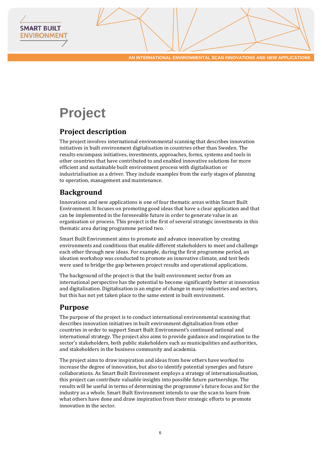



# <span id="page-5-0"></span>**Project**

# <span id="page-5-1"></span>**Project description**

The project involves international environmental scanning that describes innovation initiatives in built environment digitalisation in countries other than Sweden. The results encompass initiatives, investments, approaches, forms, systems and tools in other countries that have contributed to and enabled innovative solutions for more efficient and sustainable built environment process with digitalisation or industrialisation as a driver. They include examples from the early stages of planning to operation, management and maintenance.

# <span id="page-5-2"></span>**Background**

Innovations and new applications is one of four thematic areas within Smart Built Environment. It focuses on promoting good ideas that have a clear application and that can be implemented in the foreseeable future in order to generate value in an organisation or process. This project is the first of several strategic investments in this thematic area during programme period two.

Smart Built Environment aims to promote and advance innovation by creating environments and conditions that enable different stakeholders to meet and challenge each other through new ideas. For example, during the first programme period, an ideation workshop was conducted to promote an innovative climate, and test beds were used to bridge the gap between project results and operational applications.

The background of the project is that the built environment sector from an international perspective has the potential to become significantly better at innovation and digitalisation. Digitalisation is an engine of change in many industries and sectors, but this has not yet taken place to the same extent in built environment.

## <span id="page-5-3"></span>**Purpose**

The purpose of the project is to conduct international environmental scanning that describes innovation initiatives in built environment digitalisation from other countries in order to support Smart Built Environment's continued national and international strategy. The project also aims to provide guidance and inspiration to the sector's stakeholders, both public stakeholders such as municipalities and authorities, and stakeholders in the business community and academia.

The project aims to draw inspiration and ideas from how others have worked to increase the degree of innovation, but also to identify potential synergies and future collaborations. As Smart Built Environment employs a strategy of internationalisation, this project can contribute valuable insights into possible future partnerships. The results will be useful in terms of determining the programme's future focus and for the industry as a whole. Smart Built Environment intends to use the scan to learn from what others have done and draw inspiration from their strategic efforts to promote innovation in the sector.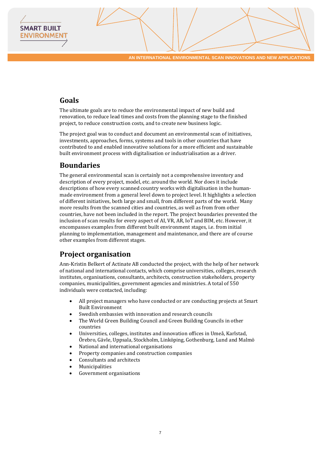### <span id="page-6-0"></span>**Goals**

**SMART BUILT ENVIRONMEN** 

> The ultimate goals are to reduce the environmental impact of new build and renovation, to reduce lead times and costs from the planning stage to the finished project, to reduce construction costs, and to create new business logic.

The project goal was to conduct and document an environmental scan of initiatives, investments, approaches, forms, systems and tools in other countries that have contributed to and enabled innovative solutions for a more efficient and sustainable built environment process with digitalisation or industrialisation as a driver.

### <span id="page-6-1"></span>**Boundaries**

The general environmental scan is certainly not a comprehensive inventory and description of every project, model, etc. around the world. Nor does it include descriptions of how every scanned country works with digitalisation in the humanmade environment from a general level down to project level. It highlights a selection of different initiatives, both large and small, from different parts of the world. Many more results from the scanned cities and countries, as well as from from other countries, have not been included in the report. The project boundaries prevented the inclusion of scan results for every aspect of AI, VR, AR, IoT and BIM, etc. However, it encompasses examples from different built environment stages, i.e. from initial planning to implementation, management and maintenance, and there are of course other examples from different stages.

## <span id="page-6-2"></span>**Project organisation**

Ann-Kristin Belkert of Actinate AB conducted the project, with the help of her network of national and international contacts, which comprise universities, colleges, research institutes, organisations, consultants, architects, construction stakeholders, property companies, municipalities, government agencies and ministries. A total of 550 individuals were contacted, including:

- All project managers who have conducted or are conducting projects at Smart Built Environment
- Swedish embassies with innovation and research councils
- The World Green Building Council and Green Building Councils in other countries
- Universities, colleges, institutes and innovation offices in Umeå, Karlstad, Örebro, Gävle, Uppsala, Stockholm, Linköping, Gothenburg, Lund and Malmö
- National and international organisations
- Property companies and construction companies
- Consultants and architects
- **Municipalities**
- Government organisations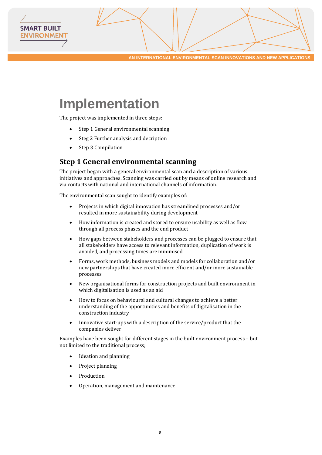

# <span id="page-7-0"></span>**Implementation**

The project was implemented in three steps:

- Step 1 General environmental scanning
- Steg 2 Further analysis and decription
- Step 3 Compilation

**SMART BUILT ENVIRONMEN** 

### <span id="page-7-1"></span>**Step 1 General environmental scanning**

The project began with a general environmental scan and a description of various initiatives and approaches. Scanning was carried out by means of online research and via contacts with national and international channels of information.

The environmental scan sought to identify examples of:

- Projects in which digital innovation has streamlined processes and/or resulted in more sustainability during development
- How information is created and stored to ensure usability as well as flow through all process phases and the end product
- How gaps between stakeholders and processes can be plugged to ensure that all stakeholders have access to relevant information, duplication of work is avoided, and processing times are minimised
- Forms, work methods, business models and models for collaboration and/or new partnerships that have created more efficient and/or more sustainable processes
- New organisational forms for construction projects and built environment in which digitalisation is used as an aid
- How to focus on behavioural and cultural changes to achieve a better understanding of the opportunities and benefits of digitalisation in the construction industry
- Innovative start-ups with a description of the service/product that the companies deliver

Examples have been sought for different stages in the built environment process – but not limited to the traditional process;

- Ideation and planning
- Project planning
- **Production**
- Operation, management and maintenance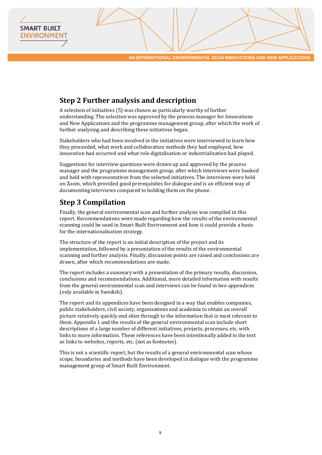# <span id="page-8-0"></span>**Step 2 Further analysis and description**

A selection of initiatives (5) was chosen as particularly worthy of further understanding. The selection was approved by the process manager for Innovations and New Applications and the programme management group, after which the work of further analysing and describing these initiatives began.

Stakeholders who had been involved in the initiatives were interviewed to learn how they proceeded, what work and collaboration methods they had employed, how innovation had occurred and what role digitalisation or industrialisation had played.

Suggestions for interview questions were drawn up and approved by the process manager and the programme management group, after which interviews were booked and held with representatives from the selected initiatives. The interviews were held on Zoom, which provided good prerequisites for dialogue and is an efficient way of documenting interviews compared to holding them on the phone.

# <span id="page-8-1"></span>**Step 3 Compilation**

**SMART BUILT ENVIRONMEN** 

> Finally, the general environmental scan and further analysis was compiled in this report. Recommendations were made regarding how the results of the environmental scanning could be used in Smart Built Environment and how it could provide a basis for the internationalisation strategy.

> The structure of the report is an initial description of the project and its implementation, followed by a presentation of the results of the environmental scanning and further analysis. Finally, discussion points are raised and conclusions are drawn, after which recommendations are made.

> The report includes a summary with a presentation of the primary results, discussion, conclusions and recommendations. Additional, more detailed information with results from the general environmental scan and interviews can be found in two appendices (only available in Swedish).

> The report and its appendices have been designed in a way that enables companies, public stakeholders, civil society, organisations and academia to obtain an overall picture relatively quickly and skim through to the information that is most relevant to them. Appendix 1 and the results of the general environmental scan include short descriptions of a large number of different initiatives, projects, processes, etc. with links to more information. These references have been intentionally added in the text as links to websites, reports, etc. (not as footnotes).

> This is not a scientific report, but the results of a general environmental scan whose scope, boundaries and methods have been developed in dialogue with the programme management group of Smart Built Environment.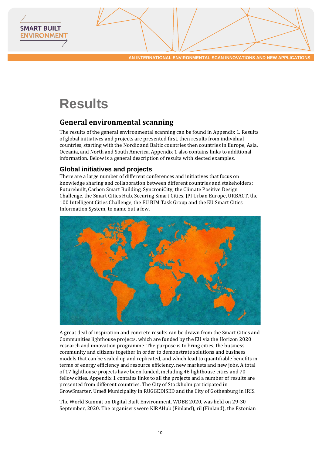

# <span id="page-9-0"></span>**Results**

**SMART BUILT ENVIRONMEN** 

# <span id="page-9-1"></span>**General environmental scanning**

The results of the general environmental scanning can be found in Appendix 1. Results of global initiatives and projects are presented first, then results from individual countries, starting with the Nordic and Baltic countries then countries in Europe, Asia, Oceania, and North and South America. Appendix 1 also contains links to additional information. Below is a general description of results with slected examples.

#### **Global initiatives and projects**

There are a large number of different conferences and initiatives that focus on knowledge sharing and collaboration between different countries and stakeholders; Futurebuilt, Carbon Smart Building, SyncroniCity, the Climate Positive Design Challenge, the Smart Cities Hub, Securing Smart Cities, JPI Urban Europe, URBACT, the 100 Intelligent Cities Challenge, the EU BIM Task Group and the EU Smart Cities Information System, to name but a few.



A great deal of inspiration and concrete results can be drawn from the Smart Cities and Communities lighthouse projects, which are funded by the EU via the Horizon 2020 research and innovation programme. The purpose is to bring cities, the business community and citizens together in order to demonstrate solutions and business models that can be scaled up and replicated, and which lead to quantifiable benefits in terms of energy efficiency and resource efficiency, new markets and new jobs. A total of 17 lighthouse projects have been funded, including 46 lighthouse cities and 70 fellow cities. Appendix 1 contains links to all the projects and a number of results are presented from different countries. The City of Stockholm participated in GrowSmarter, Umeå Municipality in RUGGEDISED and the City of Gothenburg in IRIS.

The World Summit on Digital Built Environment, WDBE 2020, was held on 29-30 September, 2020. The organisers were KIRAHub (Finland), ril (Finland), the Estonian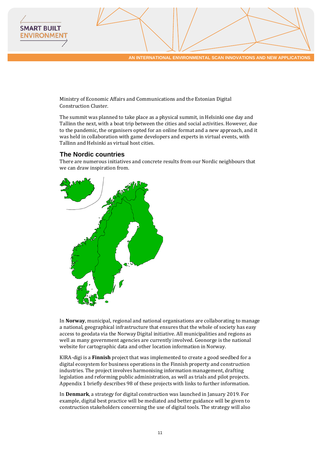

Ministry of Economic Affairs and Communications and the Estonian Digital Construction Cluster.

The summit was planned to take place as a physical summit, in Helsinki one day and Tallinn the next, with a boat trip between the cities and social activities. However, due to the pandemic, the organisers opted for an online format and a new approach, and it was held in collaboration with game developers and experts in virtual events, with Tallinn and Helsinki as virtual host cities.

#### **The Nordic countries**

**SMART BUILT ENVIRONMEN** 

> There are numerous initiatives and concrete results from our Nordic neighbours that we can draw inspiration from.



In **Norway**, municipal, regional and national organisations are collaborating to manage a national, geographical infrastructure that ensures that the whole of society has easy access to geodata via the Norway Digital initiative. All municipalities and regions as well as many government agencies are currently involved. Geonorge is the national website for cartographic data and other location information in Norway.

KIRA-digi is a **Finnish** project that was implemented to create a good seedbed for a digital ecosystem for business operations in the Finnish property and construction industries. The project involves harmonising information management, drafting legislation and reforming public administration, as well as trials and pilot projects. Appendix 1 briefly describes 98 of these projects with links to further information.

In **Denmark**, a strategy for digital construction was launched in January 2019. For example, digital best practice will be mediated and better guidance will be given to construction stakeholders concerning the use of digital tools. The strategy will also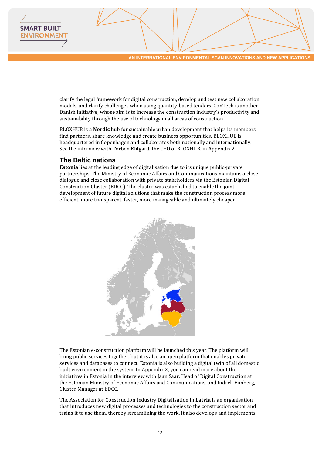

clarify the legal framework for digital construction, develop and test new collaboration models, and clarify challenges when using quantity-based tenders. ConTech is another Danish initiative, whose aim is to increase the construction industry's productivity and sustainability through the use of technology in all areas of construction.

BLOXHUB is a **Nordic** hub for sustainable urban development that helps its members find partners, share knowledge and create business opportunities. BLOXHUB is headquartered in Copenhagen and collaborates both nationally and internationally. See the interview with Torben Klitgard, the CEO of BLOXHUB, in Appendix 2.

#### **The Baltic nations**

**SMART BUILT ENVIRONMEN** 

> **Estonia** lies at the leading edge of digitalisation due to its unique public-private partnerships. The Ministry of Economic Affairs and Communications maintains a close dialogue and close collaboration with private stakeholders via the Estonian Digital Construction Cluster (EDCC). The cluster was established to enable the joint development of future digital solutions that make the construction process more efficient, more transparent, faster, more manageable and ultimately cheaper.



The Estonian e-construction platform will be launched this year. The platform will bring public services together, but it is also an open platform that enables private services and databases to connect. Estonia is also building a digital twin of all domestic built environment in the system. In Appendix 2, you can read more about the initiatives in Estonia in the interview with Jaan Saar, Head of Digital Construction at the Estonian Ministry of Economic Affairs and Communications, and Indrek Vimberg, Cluster Manager at EDCC.

The Association for Construction Industry Digitalisation in **Latvia** is an organisation that introduces new digital processes and technologies to the construction sector and trains it to use them, thereby streamlining the work. It also develops and implements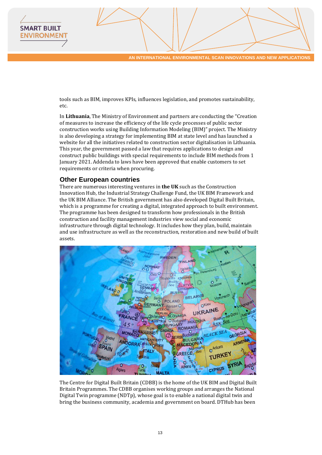tools such as BIM, improves KPIs, influences legislation, and promotes sustainability, etc.

In **Lithuania**, The Ministry of Environment and partners are conducting the "Creation of measures to increase the efficiency of the life cycle processes of public sector construction works using Building Information Modeling (BIM)" project. The Ministry is also developing a strategy for implementing BIM at state level and has launched a website for all the initiatives related to construction sector digitalisation in Lithuania. This year, the government passed a law that requires applications to design and construct public buildings with special requirements to include BIM methods from 1 January 2021. Addenda to laws have been approved that enable customers to set requirements or criteria when procuring.

#### **Other European countries**

**SMART BUILT ENVIRONMEN** 

> There are numerous interesting ventures in **the UK** such as the Construction Innovation Hub, the Industrial Strategy Challenge Fund, the UK BIM Framework and the UK BIM Alliance. The British government has also developed Digital Built Britain, which is a programme for creating a digital, integrated approach to built environment. The programme has been designed to transform how professionals in the British construction and facility management industries view social and economic infrastructure through digital technology. It includes how they plan, build, maintain and use infrastructure as well as the reconstruction, restoration and new build of built assets.



The Centre for Digital Built Britain (CDBB) is the home of the UK BIM and Digital Built Britain Programmes. The CDBB organises working groups and arranges the National Digital Twin programme (NDTp), whose goal is to enable a national digital twin and bring the business community, academia and government on board. DTHub has been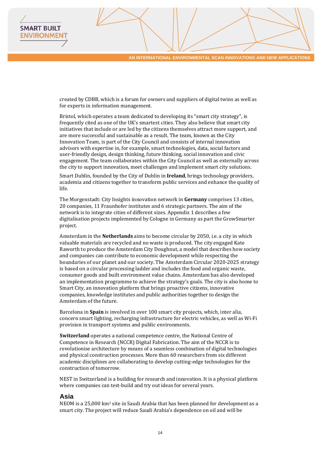created by CDBB, which is a forum for owners and suppliers of digital twins as well as for experts in information management.

Bristol, which operates a team dedicated to developing its "smart city strategy", is frequently cited as one of the UK's smartest cities. They also believe that smart city initiatives that include or are led by the citizens themselves attract more support, and are more successful and sustainable as a result. The team, known as the City Innovation Team, is part of the City Council and consists of internal innovation advisors with expertise in, for example, smart technologies, data, social factors and user-friendly design, design thinking, future thinking, social innovation and civic engagement. The team collaborates within the City Council as well as externally across the city to support innovation, meet challenges and implement smart city solutions.

Smart Dublin, founded by the City of Dublin in **Ireland**, brings technology providers, academia and citizens together to transform public services and enhance the quality of life.

The Morgenstadt: City Insights innovation network in **Germany** comprises 13 cities, 20 companies, 11 Fraunhofer institutes and 6 strategic partners. The aim of the network is to integrate cities of different sizes. Appendix 1 describes a few digitalisation projects implemented by Cologne in Germany as part the GrowSmarter project.

Amsterdam in the **Netherlands** aims to become circular by 2050, i.e. a city in which valuable materials are recycled and no waste is produced. The city engaged Kate Raworth to produce the Amsterdam City Doughnut, a model that describes how society and companies can contribute to economic development while respecting the boundaries of our planet and our society. The Amsterdam Circular 2020-2025 strategy is based on a circular processing ladder and includes the food and organic waste, consumer goods and built environment value chains. Amsterdam has also developed an implementation programme to achieve the strategy's goals. The city is also home to Smart City, an innovation platform that brings proactive citizens, innovative companies, knowledge institutes and public authorities together to design the Amsterdam of the future.

Barcelona in **Spain** is involved in over 100 smart city projects, which, inter alia, concern smart lighting, recharging infrastructure for electric vehicles, as well as Wi-Fi provision in transport systems and public environments.

**Switzerland** operates a national competence centre, the National Centre of Competence in Research (NCCR) Digital Fabrication. The aim of the NCCR is to revolutionise architecture by means of a seamless combination of digital technologies and physical construction processes. More than 60 researchers from six different academic disciplines are collaborating to develop cutting-edge technologies for the construction of tomorrow.

NEST in Switzerland is a building for research and innovation. It is a physical platform where companies can test-build and try out ideas for several years.

#### **Asia**

**SMART BUILT ENVIRONMEN** 

> NEOM is a 25,000 km2 site in Saudi Arabia that has been planned for development as a smart city. The project will reduce Saudi Arabia's dependence on oil and will be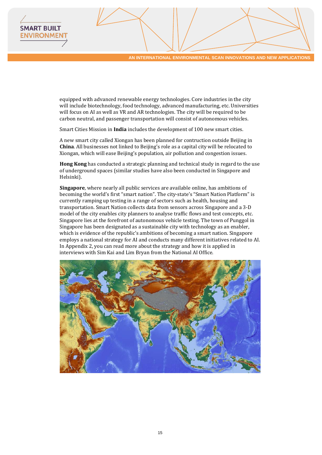equipped with advanced renewable energy technologies. Core industries in the city will include biotechnology, food technology, advanced manufacturing, etc. Universities will focus on AI as well as VR and AR technologies. The city will be required to be carbon neutral, and passenger transportation will consist of autonomous vehicles.

Smart Cities Mission in **India** includes the development of 100 new smart cities.

**SMART BUILT ENVIRONMEN** 

> A new smart city called Xiongan has been planned for contruction outside Beijing in **China**. All businesses not linked to Beijing's role as a capital city will be relocated to Xiongan, which will ease Beijing's population, air pollution and congestion issues.

**Hong Kong** has conducted a strategic planning and technical study in regard to the use of underground spaces (similar studies have also been conducted in Singapore and Helsinki).

**Singapore**, where nearly all public services are available online, has ambitions of becoming the world's first "smart nation". The city-state's "Smart Nation Platform" is currently ramping up testing in a range of sectors such as health, housing and transportation. Smart Nation collects data from sensors across Singapore and a 3-D model of the city enables city planners to analyse traffic flows and test concepts, etc. Singapore lies at the forefront of autonomous vehicle testing. The town of Punggol in Singapore has been designated as a sustainable city with technology as an enabler, which is evidence of the republic's ambitions of becoming a smart nation. Singapore employs a national strategy for AI and conducts many different initiatives related to AI. In Appendix 2, you can read more about the strategy and how it is applied in interviews with Sim Kai and Lim Bryan from the National AI Office.

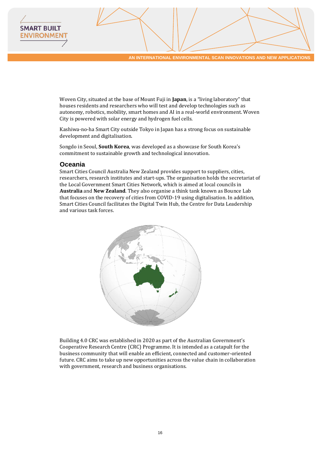

Woven City, situated at the base of Mount Fuji in **Japan**, is a "living laboratory" that houses residents and researchers who will test and develop technologies such as autonomy, robotics, mobility, smart homes and AI in a real-world environment. Woven City is powered with solar energy and hydrogen fuel cells.

Kashiwa-no-ha Smart City outside Tokyo in Japan has a strong focus on sustainable development and digitalisation.

Songdo in Seoul, **South Korea**, was developed as a showcase for South Korea's commitment to sustainable growth and technological innovation.

#### **Oceania**

**SMART BUILT ENVIRONMEN** 

> Smart Cities Council Australia New Zealand provides support to suppliers, cities, researchers, research institutes and start-ups. The organisation holds the secretariat of the Local Government Smart Cities Network, which is aimed at local councils in **Australia** and **New Zealand**. They also organise a think tank known as Bounce Lab that focuses on the recovery of cities from COVID-19 using digitalisation. In addition, Smart Cities Council facilitates the Digital Twin Hub, the Centre for Data Leadership and various task forces.



Building 4.0 CRC was established in 2020 as part of the Australian Government's Cooperative Research Centre (CRC) Programme. It is intended as a catapult for the business community that will enable an efficient, connected and customer-oriented future. CRC aims to take up new opportunities across the value chain in collaboration with government, research and business organisations.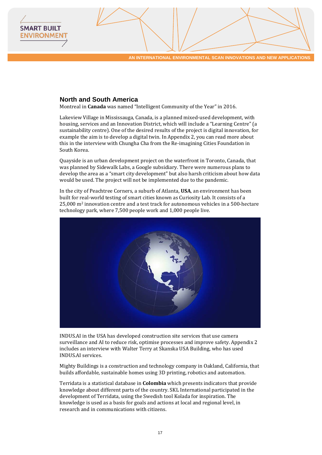#### **North and South America**

**SMART BUILT ENVIRONMEN** 

Montreal in **Canada** was named "Intelligent Community of the Year" in 2016.

Lakeview Village in Mississauga, Canada, is a planned mixed-used development, with housing, services and an Innovation District, which will include a "Learning Centre" (a sustainability centre). One of the desired results of the project is digital innovation, for example the aim is to develop a digital twin. In Appendix 2, you can read more about this in the interview with Chungha Cha from the Re-imagining Cities Foundation in South Korea.

Quayside is an urban development project on the waterfront in Toronto, Canada, that was planned by Sidewalk Labs, a Google subsidiary. There were numerous plans to develop the area as a "smart city development" but also harsh criticism about how data would be used. The project will not be implemented due to the pandemic.

In the city of Peachtree Corners, a suburb of Atlanta, **USA**, an environment has been built for real-world testing of smart cities known as Curiosity Lab. It consists of a 25,000 m2 innovation centre and a test track for autonomous vehicles in a 500-hectare technology park, where 7,500 people work and 1,000 people live.



INDUS.AI in the USA has developed construction site services that use camera surveillance and AI to reduce risk, optimise processes and improve safety. Appendix 2 includes an interview with Walter Terry at Skanska USA Building, who has used INDUS.AI services.

Mighty Buildings is a construction and technology company in Oakland, California, that builds affordable, sustainable homes using 3D printing, robotics and automation.

Terridata is a statistical database in **Colombia** which presents indicators that provide knowledge about different parts of the country. SKL International participated in the development of Terridata, using the Swedish tool Kolada for inspiration. The knowledge is used as a basis for goals and actions at local and regional level, in research and in communications with citizens.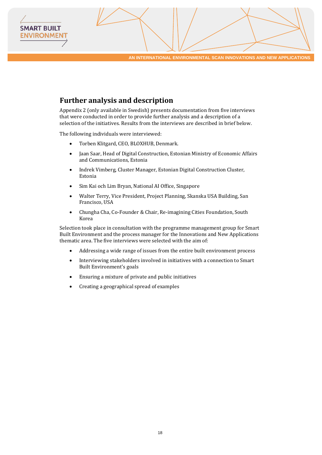# <span id="page-17-0"></span>**Further analysis and description**

**SMART BUILT ENVIRONMENT** 

> Appendix 2 (only available in Swedish) presents documentation from five interviews that were conducted in order to provide further analysis and a description of a selection of the initiatives. Results from the interviews are described in brief below.

The following individuals were interviewed:

- Torben Klitgard, CEO, BLOXHUB, Denmark.
- Jaan Saar, Head of Digital Construction, Estonian Ministry of Economic Affairs and Communications, Estonia
- Indrek Vimberg, Cluster Manager, Estonian Digital Construction Cluster, Estonia
- Sim Kai och Lim Bryan, National AI Office, Singapore
- Walter Terry, Vice President, Project Planning, Skanska USA Building, San Francisco, USA
- Chungha Cha, Co-Founder & Chair, Re-imagining Cities Foundation, South Korea

Selection took place in consultation with the programme management group for Smart Built Environment and the process manager for the Innovations and New Applications thematic area. The five interviews were selected with the aim of:

- Addressing a wide range of issues from the entire built environment process
- Interviewing stakeholders involved in initiatives with a connection to Smart Built Environment's goals
- Ensuring a mixture of private and public initiatives
- Creating a geographical spread of examples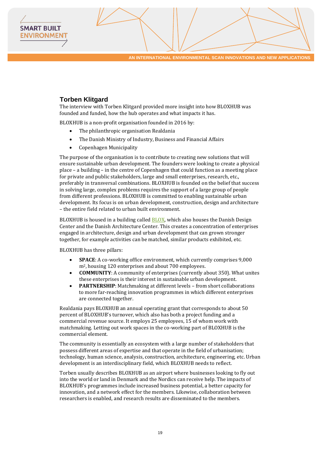#### **Torben Klitgard**

**SMART BUILT ENVIRONMEN** 

> The interview with Torben Klitgard provided more insight into how BLOXHUB was founded and funded, how the hub operates and what impacts it has.

BLOXHUB is a non-profit organisation founded in 2016 by:

- The philanthropic organisation Realdania
- The Danish Ministry of Industry, Business and Financial Affairs
- Copenhagen Municipality

The purpose of the organisation is to contribute to creating new solutions that will ensure sustainable urban development. The founders were looking to create a physical place – a building – in the centre of Copenhagen that could function as a meeting place for private and public stakeholders, large and small enterprises, research, etc., preferably in transversal combinations. BLOXHUB is founded on the belief that success in solving large, complex problems requires the support of a large group of people from different professions. BLOXHUB is committed to enabling sustainable urban development. Its focus is on urban development, construction, design and architecture – the entire field related to urban built environment.

BLOXHUB is housed in a building called [BLOX,](https://www.blox.dk/) which also houses the Danish Design Center and the Danish Architecture Center. This creates a concentration of enterprises engaged in architecture, design and urban development that can grown stronger together, for example activities can be matched, similar products exhibited, etc.

BLOXHUB has three pillars:

- **SPACE**: A co-working office environment, which currently comprises 9,000 m2, housing 120 enterprises and about 700 employees.
- **COMMUNITY**: A community of enterprises (currently about 350). What unites these enterprises is their interest in sustainable urban development.
- **PARTNERSHIP**: Matchmaking at different levels from short collaborations to more far-reaching innovation programmes in which different enterprises are connected together.

Realdania pays BLOXHUB an annual operating grant that corresponds to about 50 percent of BLOXHUB's turnover, which also has both a project funding and a commercial revenue source. It employs 25 employees, 15 of whom work with matchmaking. Letting out work spaces in the co-working part of BLOXHUB is the commercial element.

The community is essentially an ecosystem with a large number of stakeholders that possess different areas of expertise and that operate in the field of urbanisation; technology, human science, analysis, construction, architecture, engineering, etc. Urban development is an interdisciplinary field, which BLOXHUB needs to reflect.

Torben usually describes BLOXHUB as an airport where businesses looking to fly out into the world or land in Denmark and the Nordics can receive help. The impacts of BLOXHUB's programmes include increased business potential, a better capacity for innovation, and a network effect for the members. Likewise, collaboration between researchers is enabled, and research results are disseminated to the members.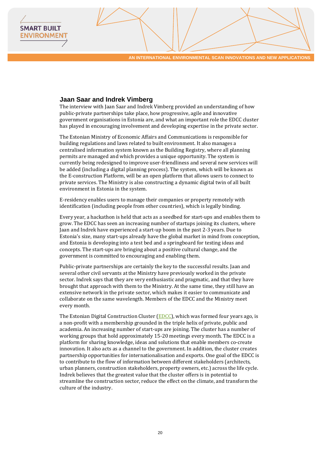#### **Jaan Saar and Indrek Vimberg**

**SMART BUILT ENVIRONMEN** 

> The interview with Jaan Saar and Indrek Vimberg provided an understanding of how public-private partnerships take place, how progressive, agile and innovative government organisations in Estonia are, and what an important role the EDCC cluster has played in encouraging involvement and developing expertise in the private sector.

> The Estonian Ministry of Economic Affairs and Communications is responsible for building regulations and laws related to built environment. It also manages a centralised information system known as the Building Registry, where all planning permits are managed and which provides a unique opportunity. The system is currently being redesigned to improve user-friendliness and several new services will be added (including a digital planning process). The system, which will be known as the E-construction Platform, will be an open platform that allows users to connect to private services. The Ministry is also constructing a dynamic digital twin of all built environment in Estonia in the system.

E-residency enables users to manage their companies or property remotely with identification (including people from other countries), which is legally binding.

Every year, a hackathon is held that acts as a seedbed for start-ups and enables them to grow. The EDCC has seen an increasing number of startups joining its clusters, where Jaan and Indrek have experienced a start-up boom in the past 2-3 years. Due to Estonia's size, many start-ups already have the global market in mind from conception, and Estonia is developing into a test bed and a springboard for testing ideas and concepts. The start-ups are bringing about a positive cultural change, and the government is committed to encouraging and enabling them.

Public-private partnerships are certainly the key to the successful results. Jaan and several other civil servants at the Ministry have previously worked in the private sector. Indrek says that they are very enthusiastic and pragmatic, and that they have brought that approach with them to the Ministry. At the same time, they still have an extensive network in the private sector, which makes it easier to communicate and collaborate on the same wavelength. Members of the EDCC and the Ministry meet every month.

The Estonian Digital Construction Cluster ( $EDCC$ ), which was formed four years ago, is a non-profit with a membership grounded in the triple helix of private, public and academia. An increasing number of start-ups are joining. The cluster has a number of working groups that hold approximately 15-20 meetings every month. The EDCC is a platform for sharing knowledge, ideas and solutions that enable members co-create innovation. It also acts as a channel to the government. In addition, the cluster creates partnership opportunities for internationalisation and exports. One goal of the EDCC is to contribute to the flow of information between different stakeholders (architects, urban planners, construction stakeholders, property owners, etc.) across the life cycle. Indrek believes that the greatest value that the cluster offers is in potential to streamline the construction sector, reduce the effect on the climate, and transform the culture of the industry.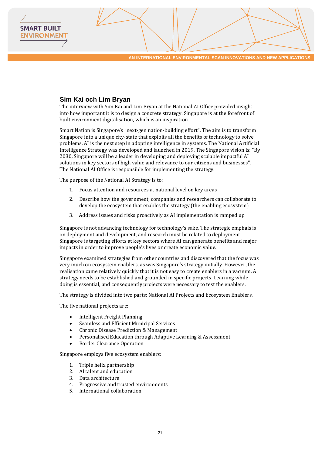#### **Sim Kai och Lim Bryan**

**SMART BUILT ENVIRONMEN** 

> The interview with Sim Kai and Lim Bryan at the National AI Office provided insight into how important it is to design a concrete strategy. Singapore is at the forefront of built environment digitalisation, which is an inspiration.

Smart Nation is Singapore's "next-gen nation-building effort". The aim is to transform Singapore into a unique city-state that exploits all the benefits of technology to solve problems. AI is the next step in adopting intelligence in systems. The National Artificial Intelligence Strategy was developed and launched in 2019. The Singapore vision is: "By 2030, Singapore will be a leader in developing and deploying scalable impactful AI solutions in key sectors of high value and relevance to our citizens and businesses". The National AI Office is responsible for implementing the strategy.

The purpose of the National AI Strategy is to:

- 1. Focus attention and resources at national level on key areas
- 2. Describe how the government, companies and researchers can collaborate to develop the ecosystem that enables the strategy (the enabling ecosystem)
- 3. Address issues and risks proactively as AI implementation is ramped up

Singapore is not advancing technology for technology's sake. The strategic emphais is on deployment and development, and research must be related to deployment. Singapore is targeting efforts at key sectors where AI can generate benefits and major impacts in order to improve people's lives or create economic value.

Singapore examined strategies from other countries and discovered that the focus was very much on ecosystem enablers, as was Singapore's strategy initially. However, the realisation came relatively quickly that it is not easy to create enablers in a vacuum. A strategy needs to be established and grounded in specific projects. Learning while doing is essential, and consequently projects were necessary to test the enablers.

The strategy is divided into two parts: National AI Projects and Ecosystem Enablers.

The five national projects are:

- Intelligent Freight Planning
- Seamless and Efficient Municipal Services
- Chronic Disease Prediction & Management
- Personalised Education through Adaptive Learning & Assessment
- Border Clearance Operation

Singapore employs five ecosystem enablers:

- 1. Triple helix partnership
- 2. AI talent and education
- 3. Data architecture
- 4. Progressive and trusted environments
- 5. International collaboration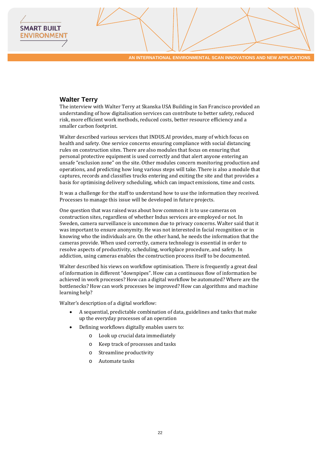#### **Walter Terry**

**SMART BUILT ENVIRONMEN** 

> The interview with Walter Terry at Skanska USA Building in San Francisco provided an understanding of how digitalisation services can contribute to better safety, reduced risk, more efficient work methods, reduced costs, better resource efficiency and a smaller carbon footprint.

> Walter described various services that INDUS.AI provides, many of which focus on health and safety. One service concerns ensuring compliance with social distancing rules on construction sites. There are also modules that focus on ensuring that personal protective equipment is used correctly and that alert anyone entering an unsafe "exclusion zone" on the site. Other modules concern monitoring production and operations, and predicting how long various steps will take. There is also a module that captures, records and classifies trucks entering and exiting the site and that provides a basis for optimising delivery scheduling, which can impact emissions, time and costs.

> It was a challenge for the staff to understand how to use the information they received. Processes to manage this issue will be developed in future projects.

> One question that was raised was about how common it is to use cameras on construction sites, regardless of whether Indus services are employed or not. In Sweden, camera surveillance is uncommon due to privacy concerns. Walter said that it was important to ensure anonymity. He was not interested in facial recognition or in knowing who the individuals are. On the other hand, he needs the information that the cameras provide. When used correctly, camera technology is essential in order to resolve aspects of productivity, scheduling, workplace procedure, and safety. In addiction, using cameras enables the construction process itself to be documented.

> Walter described his views on workflow optimisation. There is frequently a great deal of information in different "downpipes". How can a continuous flow of information be achieved in work processes? How can a digital workflow be automated? Where are the bottlenecks? How can work processes be improved? How can algorithms and machine learning help?

Walter's description of a digital workflow:

- A sequential, predictable combination of data, guidelines and tasks that make up the everyday processes of an operation
- Defining workflows digitally enables users to:
	- o Look up crucial data immediately
	- o Keep track of processes and tasks
	- o Streamline productivity
	- o Automate tasks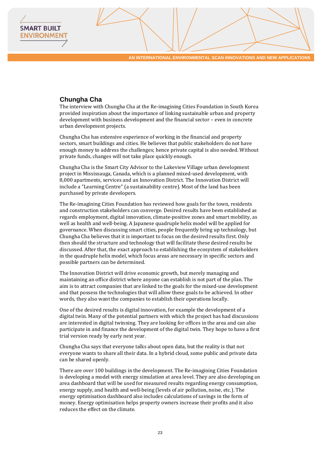#### **Chungha Cha**

**SMART BUILT ENVIRONMEN** 

> The interview with Chungha Cha at the Re-imagining Cities Foundation in South Korea provided inspiration about the importance of linking sustainable urban and property development with business development and the financial sector – even in concrete urban development projects.

> Chungha Cha has extensive experience of working in the financial and property sectors, smart buildings and cities. He believes that public stakeholders do not have enough money to address the challenges; hence private capital is also needed. Without private funds, changes will not take place quickly enough.

Chungha Cha is the Smart City Advisor to the Lakeview Village urban development project in Mississauga, Canada, which is a planned mixed-used development, with 8,000 apartments, services and an Innovation District. The Innovation District will include a "Learning Centre" (a sustainability centre). Most of the land has been purchased by private developers.

The Re-imagining Cities Foundation has reviewed how goals for the town, residents and construction stakeholders can converge. Desired results have been established as regards employment, digital innovation, climate-positive zones and smart mobility, as well as health and well-being. A Japanese quadruple helix model will be applied for governance. When discussing smart cities, people frequently bring up technology, but Chungha Cha believes that it is important to focus on the desired results first. Only then should the structure and technology that will facilitate these desired results be discussed. After that, the exact approach to establishing the ecosystem of stakeholders in the quadruple helix model, which focus areas are necessary in specific sectors and possible partners can be determined.

The Innovation District will drive economic growth, but merely managing and maintaining an office district where anyone can establish is not part of the plan. The aim is to attract companies that are linked to the goals for the mixed-use development and that possess the technologies that will allow these goals to be achieved. In other words, they also want the companies to establish their operations locally.

One of the desired results is digital innovation, for example the development of a digital twin. Many of the potential partners with which the project has had discussions are interested in digital twinning. They are looking for offices in the area and can also participate in and finance the development of the digital twin. They hope to have a first trial version ready by early next year.

Chungha Cha says that everyone talks about open data, but the reality is that not everyone wants to share all their data. In a hybrid cloud, some public and private data can be shared openly.

There are over 100 buildings in the development. The Re-imagining Cities Foundation is developing a model with energy simulation at area level. They are also developing an area dashboard that will be used for measured results regarding energy consumption, energy supply, and health and well-being (levels of air pollution, noise, etc.). The energy optimisation dashboard also includes calculations of savings in the form of money. Energy optimisation helps property owners increase their profits and it also reduces the effect on the climate.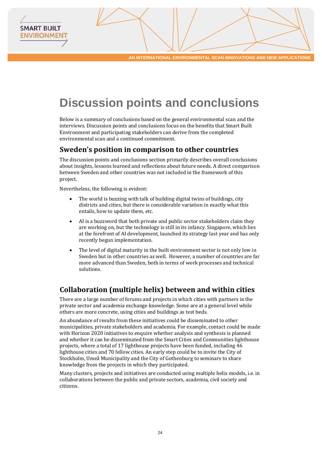# <span id="page-23-0"></span>**Discussion points and conclusions**

Below is a summary of conclusions based on the general environmental scan and the interviews. Discussion points and conclusions focus on the benefits that Smart Built Environment and participating stakeholders can derive from the completed environmental scan and a continued commitment.

### <span id="page-23-1"></span>**Sweden's position in comparison to other countries**

The discussion points and conclusions section primarily describes overall conclusions about insights, lessons learned and reflections about future needs. A direct comparison between Sweden and other countries was not included in the framework of this project.

Nevertheless, the following is evident:

**SMART BUILT ENVIRONMEN** 

- The world is buzzing with talk of building digital twins of buildings, city districts and cities, but there is considerable variation in exactly what this entails, how to update them, etc.
- AI is a buzzword that both private and public sector stakeholders claim they are working on, but the technology is still in its infancy. Singapore, which lies at the forefront of AI development, launched its strategy last year and has only recently begun implementation.
- The level of digital maturity in the built environment sector is not only low in Sweden but in other countries as well. However, a number of countries are far more advanced than Sweden, both in terms of work processes and technical solutions.

# <span id="page-23-2"></span>**Collaboration (multiple helix) between and within cities**

There are a large number of forums and projects in which cities with partners in the private sector and academia exchange knowledge. Some are at a general level while others are more concrete, using cities and buildings as test beds.

An abundance of results from these initiatives could be disseminated to other municipalities, private stakeholders and academia. For example, contact could be made with Horizon 2020 initiatives to enquire whether analysis and synthesis is planned and whether it can be disseminated from the Smart Cities and Communities lighthouse projects, where a total of 17 lighthouse projects have been funded, including 46 lighthouse cities and 70 fellow cities. An early step could be to invite the City of Stockholm, Umeå Municipality and the City of Gothenburg to seminars to share knowledge from the projects in which they participated.

Many clusters, projects and initiatives are conducted using multiple helix models, i.e. in collaborations between the public and private sectors, academia, civil society and citizens.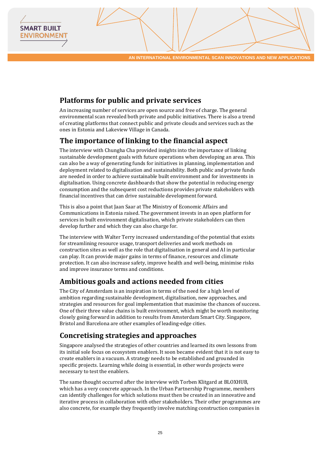# <span id="page-24-0"></span>**Platforms for public and private services**

**SMART BUILT ENVIRONMEN** 

> An increasing number of services are open source and free of charge. The general environmental scan revealed both private and public initiatives. There is also a trend of creating platforms that connect public and private clouds and services such as the ones in Estonia and Lakeview Village in Canada.

# <span id="page-24-1"></span>**The importance of linking to the financial aspect**

The interview with Chungha Cha provided insights into the importance of linking sustainable development goals with future operations when developing an area. This can also be a way of generating funds for initiatives in planning, implementation and deployment related to digitalisation and sustainability. Both public and private funds are needed in order to achieve sustainable built environment and for investments in digitalisation. Using concrete dashboards that show the potential in reducing energy consumption and the subsequent cost reductions provides private stakeholders with financial incentives that can drive sustainable development forward.

This is also a point that Jaan Saar at The Ministry of Economic Affairs and Communications in Estonia raised. The government invests in an open platform for services in built environment digitalisation, which private stakeholders can then develop further and which they can also charge for.

The interview with Walter Terry increased understanding of the potential that exists for streamlining resource usage, transport deliveries and work methods on construction sites as well as the role that digitalisation in general and AI in particular can play. It can provide major gains in terms of finance, resources and climate protection. It can also increase safety, improve health and well-being, minimise risks and improve insurance terms and conditions.

## <span id="page-24-2"></span>**Ambitious goals and actions needed from cities**

The City of Amsterdam is an inspiration in terms of the need for a high level of ambition regarding sustainable development, digitalisation, new approaches, and strategies and resources for goal implementation that maximise the chances of success. One of their three value chains is built environment, which might be worth monitoring closely going forward in addition to results from Amsterdam Smart City. Singapore, Bristol and Barcelona are other examples of leading-edge cities.

## <span id="page-24-3"></span>**Concretising strategies and approaches**

Singapore analysed the strategies of other countries and learned its own lessons from its initial sole focus on ecosystem enablers. It soon became evident that it is not easy to create enablers in a vacuum. A strategy needs to be established and grounded in specific projects. Learning while doing is essential, in other words projects were necessary to test the enablers.

The same thought occurred after the interview with Torben Klitgard at BLOXHUB, which has a very concrete approach. In the Urban Partnership Programme, members can identify challenges for which solutions must then be created in an innovative and iterative process in collaboration with other stakeholders. Their other programmes are also concrete, for example they frequently involve matching construction companies in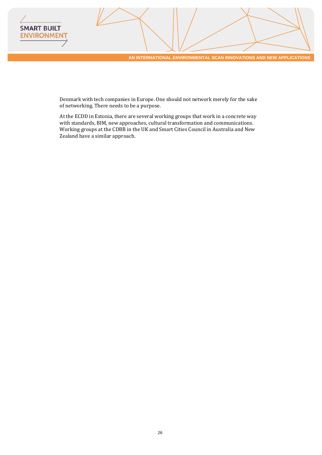

Denmark with tech companies in Europe. One should not network merely for the sake of networking. There needs to be a purpose.

At the ECDD in Estonia, there are several working groups that work in a concrete way with standards, BIM, new approaches, cultural transformation and communications. Working groups at the CDBB in the UK and Smart Cities Council in Australia and New Zealand have a similar approach.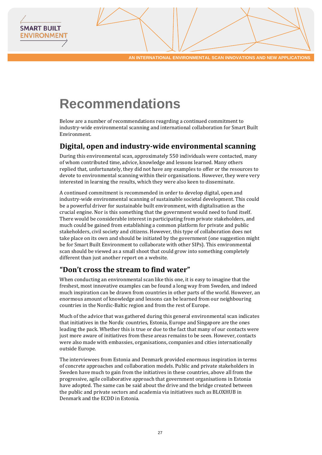# <span id="page-26-0"></span>**Recommendations**

**SMART BUILT ENVIRONMEN** 

> Below are a number of recommendations reagrding a continued commitment to industry-wide environmental scanning and international collaboration for Smart Built Environment.

# <span id="page-26-1"></span>**Digital, open and industry-wide environmental scanning**

During this environmental scan, approximately 550 individuals were contacted, many of whom contributed time, advice, knowledge and lessons learned. Many others replied that, unfortunately, they did not have any examples to offer or the resources to devote to environmental scanning within their organisations. However, they were very interested in learning the results, which they were also keen to disseminate.

A continued commitment is recommended in order to develop digital, open and industry-wide environmental scanning of sustainable societal development. This could be a powerful driver for sustainable built environment, with digitalisation as the crucial engine. Nor is this something that the government would need to fund itself. There would be considerable interest in participating from private stakeholders, and much could be gained from establishing a common platform for private and public stakeholders, civil society and citizens. However, this type of collaboration does not take place on its own and should be initiated by the government (one suggestion might be for Smart Built Environment to collaborate with other SIPs). This environmental scan should be viewed as a small shoot that could grow into something completely different than just another report on a website.

## <span id="page-26-2"></span>**"Don't cross the stream to find water"**

When conducting an environmental scan like this one, it is easy to imagine that the freshest, most innovative examples can be found a long way from Sweden, and indeed much inspiration can be drawn from countries in other parts of the world. However, an enormous amount of knowledge and lessons can be learned from our neighbouring countries in the Nordic-Baltic region and from the rest of Europe.

Much of the advice that was gathered during this general environmental scan indicates that initiatives in the Nordic countries, Estonia, Europe and Singapore are the ones leading the pack. Whether this is true or due to the fact that many of our contacts were just more aware of initiatives from these areas remains to be seen. However, contacts were also made with embassies, organisations, companies and cities internationally outside Europe.

The interviewees from Estonia and Denmark provided enormous inspiration in terms of concrete approaches and collaboration models. Public and private stakeholders in Sweden have much to gain from the initiatives in these countries, above all from the progressive, agile collaborative approach that government organisations in Estonia have adopted. The same can be said about the drive and the bridge created between the public and private sectors and academia via initiatives such as BLOXHUB in Denmark and the ECDD in Estonia.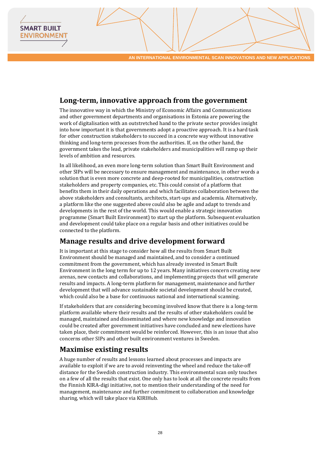# <span id="page-27-0"></span>**Long-term, innovative approach from the government**

**SMART BUILT ENVIRONMEN** 

> The innovative way in which the Ministry of Economic Affairs and Communications and other government departments and organisations in Estonia are powering the work of digitalisation with an outstretched hand to the private sector provides insight into how important it is that governments adopt a proactive approach. It is a hard task for other construction stakeholders to succeed in a concrete way without innovative thinking and long-term processes from the authorities. If, on the other hand, the government takes the lead, private stakeholders and municipalities will ramp up their levels of ambition and resources.

> In all likelihood, an even more long-term solution than Smart Built Environment and other SIPs will be necessary to ensure management and maintenance, in other words a solution that is even more concrete and deep-rooted for municipalities, construction stakeholders and property companies, etc. This could consist of a platform that benefits them in their daily operations and which facilitates collaboration between the above stakeholders and consultants, architects, start-ups and academia. Alternatively, a platform like the one suggested above could also be agile and adapt to trends and developments in the rest of the world. This would enable a strategic innovation programme (Smart Built Environment) to start up the platform. Subsequent evaluation and development could take place on a regular basis and other initiatives could be connected to the platform.

### <span id="page-27-1"></span>**Manage results and drive development forward**

It is important at this stage to consider how all the results from Smart Built Environment should be managed and maintained, and to consider a continued commitment from the government, which has already invested in Smart Built Environment in the long term for up to 12 years. Many initiatives concern creating new arenas, new contacts and collaborations, and implementing projects that will generate results and impacts. A long-term platform for management, maintenance and further development that will advance sustainable societal development should be created, which could also be a base for continuous national and international scanning.

If stakeholders that are considering becoming involved know that there is a long-term platform available where their results and the results of other stakeholders could be managed, maintained and disseminated and where new knowledge and innovation could be created after government initiatives have concluded and new elections have taken place, their commitment would be reinforced. However, this is an issue that also concerns other SIPs and other built environment ventures in Sweden.

## <span id="page-27-2"></span>**Maximise existing results**

A huge number of results and lessons learned about processes and impacts are available to exploit if we are to avoid reinventing the wheel and reduce the take-off distance for the Swedish construction industry. This environmental scan only touches on a few of all the results that exist. One only has to look at all the concrete results from the Finnish KIRA-digi initiative, not to mention their understanding of the need for management, maintenance and further commitment to collaboration and knowledge sharing, which will take place via KIRIHub.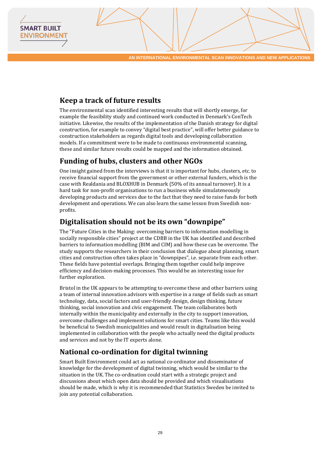# <span id="page-28-0"></span>**Keep a track of future results**

**SMART BUILT ENVIRONMEN** 

> The environmental scan identified interesting results that will shortly emerge, for example the feasibility study and continued work conducted in Denmark's ConTech initiative. Likewise, the results of the implementation of the Danish strategy for digital construction, for example to convey "digital best practice", will offer better guidance to construction stakeholders as regards digital tools and developing collaboration models. If a commitment were to be made to continuous environmental scanning, these and similar future results could be mapped and the information obtained.

# <span id="page-28-1"></span>**Funding of hubs, clusters and other NGOs**

One insight gained from the interviews is that it is important for hubs, clusters, etc. to receive financial support from the government or other external funders, which is the case with Realdania and BLOXHUB in Denmark (50% of its annual turnover). It is a hard task for non-profit organisations to run a business while simulateneously developing products and services due to the fact that they need to raise funds for both development and operations. We can also learn the same lesson from Swedish nonprofits.

# <span id="page-28-2"></span>**Digitalisation should not be its own "downpipe"**

The "Future Cities in the Making: overcoming barriers to information modelling in socially responsible cities" project at the CDBB in the UK has identified and described barriers to information modelling (BIM and CIM) and how these can be overcome. The study supports the researchers in their conclusion that dialogue about planning, smart cities and construction often takes place in "downpipes", i.e. separate from each other. These fields have potential overlaps. Bringing them together could help improve efficiency and decision-making processes. This would be an interesting issue for further exploration.

Bristol in the UK appears to be attempting to overcome these and other barriers using a team of internal innovation advisors with expertise in a range of fields such as smart technology, data, social factors and user-friendly design, design thinking, future thinking, social innovation and civic engagement. The team collaborates both internally within the municipality and externally in the city to support innovation, overcome challenges and implement solutions for smart cities. Teams like this would be beneficial to Swedish municipalities and would result in digitalisation being implemented in collaboration with the people who actually need the digital products and services and not by the IT experts alone.

# <span id="page-28-3"></span>**National co-ordination for digital twinning**

Smart Built Environment could act as national co-ordinator and disseminator of knowledge for the development of digital twinning, which would be similar to the situation in the UK. The co-ordination could start with a strategic project and discussions about which open data should be provided and which visualisations should be made, which is why it is recommended that Statistics Sweden be invited to join any potential collaboration.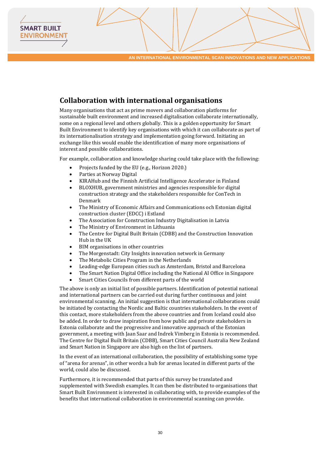# <span id="page-29-0"></span>**Collaboration with international organisations**

Many organisations that act as prime movers and collaboration platforms for sustainable built environment and increased digitalisation collaborate internationally, some on a regional level and others globally. This is a golden opportunity for Smart Built Environment to identify key organisations with which it can collaborate as part of its internationalisation strategy and implementation going forward. Initiating an exchange like this would enable the identification of many more organisations of interest and possible collaborations.

For example, collaboration and knowledge sharing could take place with the following:

- Projects funded by the EU (e.g., Horizon 2020.)
- Parties at Norway Digital

**SMART BUILT ENVIRONMEN** 

- KIRAHub and the Finnish Artificial Intelligence Accelerator in Finland
- BLOXHUB, government ministries and agencies responsible for digital construction strategy and the stakeholders responsible for ConTech in Denmark
- The Ministry of Economic Affairs and Communications och Estonian digital construction cluster (EDCC) i Estland
- The Association for Construction Industry Digitalisation in Latvia
- The Ministry of Environment in Lithuania
- The Centre for Digital Built Britain (CDBB) and the Construction Innovation Hub in the UK
- BIM organisations in other countries
- The Morgenstadt: City Insights innovation network in Germany
- The Metabolic Cities Program in the Netherlands
- Leading-edge European cities such as Amsterdam, Bristol and Barcelona
- The Smart Nation Digital Office including the National AI Office in Singapore
- Smart Cities Councils from different parts of the world

The above is only an initial list of possible partners. Identification of potential national and international partners can be carried out during further continuous and joint environmental scanning. An initial suggestion is that international collaborations could be initiated by contacting the Nordic and Baltic countries stakeholders. In the event of this contact, more stakeholders from the above countries and from Iceland could also be added. In order to draw inspiration from how public and private stakeholders in Estonia collaborate and the progressive and innovative approach of the Estonian government, a meeting with Jaan Saar and Indrek Vimberg in Estonia is recommended. The Centre for Digital Built Britain (CDBB), Smart Cities Council Australia New Zealand and Smart Nation in Singapore are also high on the list of partners.

In the event of an international collaboration, the possibility of establishing some type of "arena for arenas", in other words a hub for arenas located in different parts of the world, could also be discussed.

Furthermore, it is recommended that parts of this survey be translated and supplemented with Swedish examples. It can then be distributed to organisations that Smart Built Environment is interested in collaborating with, to provide examples of the benefits that international collaboration in environmental scanning can provide.